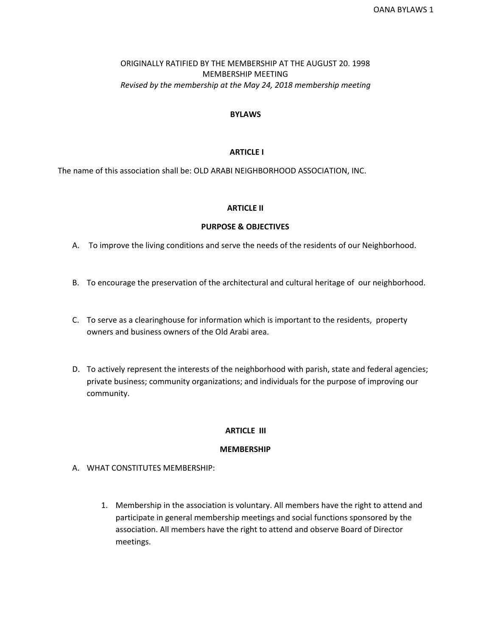# ORIGINALLY RATIFIED BY THE MEMBERSHIP AT THE AUGUST 20. 1998 MEMBERSHIP MEETING *Revised by the membership at the May 24, 2018 membership meeting*

# **BYLAWS**

# **ARTICLE I**

The name of this association shall be: OLD ARABI NEIGHBORHOOD ASSOCIATION, INC.

## **ARTICLE II**

# **PURPOSE & OBJECTIVES**

- A. To improve the living conditions and serve the needs of the residents of our Neighborhood.
- B. To encourage the preservation of the architectural and cultural heritage of our neighborhood.
- C. To serve as a clearinghouse for information which is important to the residents, property owners and business owners of the Old Arabi area.
- D. To actively represent the interests of the neighborhood with parish, state and federal agencies; private business; community organizations; and individuals for the purpose of improving our community.

## **ARTICLE III**

## **MEMBERSHIP**

- A. WHAT CONSTITUTES MEMBERSHIP:
	- 1. Membership in the association is voluntary. All members have the right to attend and participate in general membership meetings and social functions sponsored by the association. All members have the right to attend and observe Board of Director meetings.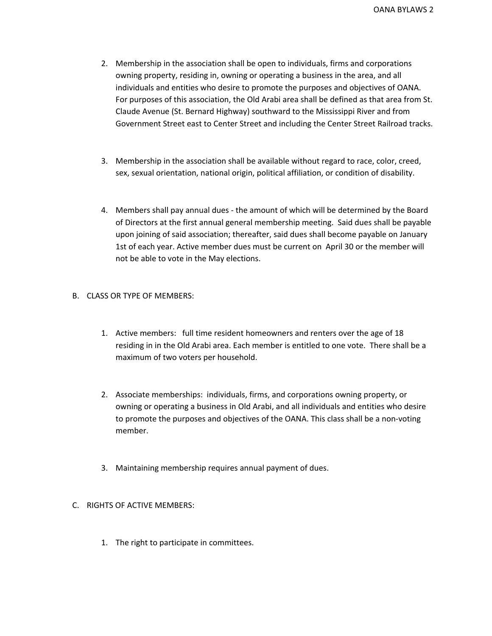- 2. Membership in the association shall be open to individuals, firms and corporations owning property, residing in, owning or operating a business in the area, and all individuals and entities who desire to promote the purposes and objectives of OANA. For purposes of this association, the Old Arabi area shall be defined as that area from St. Claude Avenue (St. Bernard Highway) southward to the Mississippi River and from Government Street east to Center Street and including the Center Street Railroad tracks.
- 3. Membership in the association shall be available without regard to race, color, creed, sex, sexual orientation, national origin, political affiliation, or condition of disability.
- 4. Members shall pay annual dues the amount of which will be determined by the Board of Directors at the first annual general membership meeting. Said dues shall be payable upon joining of said association; thereafter, said dues shall become payable on January 1st of each year. Active member dues must be current on April 30 or the member will not be able to vote in the May elections.

# B. CLASS OR TYPE OF MEMBERS:

- 1. Active members: full time resident homeowners and renters over the age of 18 residing in in the Old Arabi area. Each member is entitled to one vote. There shall be a maximum of two voters per household.
- 2. Associate memberships: individuals, firms, and corporations owning property, or owning or operating a business in Old Arabi, and all individuals and entities who desire to promote the purposes and objectives of the OANA. This class shall be a non-voting member.
- 3. Maintaining membership requires annual payment of dues.

## C. RIGHTS OF ACTIVE MEMBERS:

1. The right to participate in committees.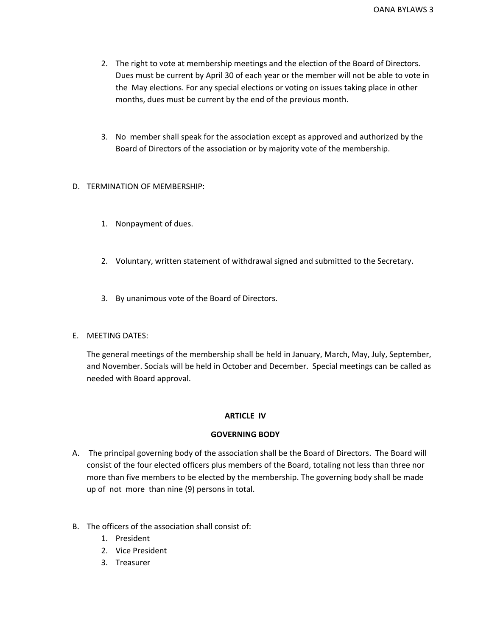- 2. The right to vote at membership meetings and the election of the Board of Directors. Dues must be current by April 30 of each year or the member will not be able to vote in the May elections. For any special elections or voting on issues taking place in other months, dues must be current by the end of the previous month.
- 3. No member shall speak for the association except as approved and authorized by the Board of Directors of the association or by majority vote of the membership.

# D. TERMINATION OF MEMBERSHIP:

- 1. Nonpayment of dues.
- 2. Voluntary, written statement of withdrawal signed and submitted to the Secretary.
- 3. By unanimous vote of the Board of Directors.

# E. MEETING DATES:

The general meetings of the membership shall be held in January, March, May, July, September, and November. Socials will be held in October and December. Special meetings can be called as needed with Board approval.

# **ARTICLE IV**

# **GOVERNING BODY**

- A. The principal governing body of the association shall be the Board of Directors. The Board will consist of the four elected officers plus members of the Board, totaling not less than three nor more than five members to be elected by the membership. The governing body shall be made up of not more than nine (9) persons in total.
- B. The officers of the association shall consist of:
	- 1. President
	- 2. Vice President
	- 3. Treasurer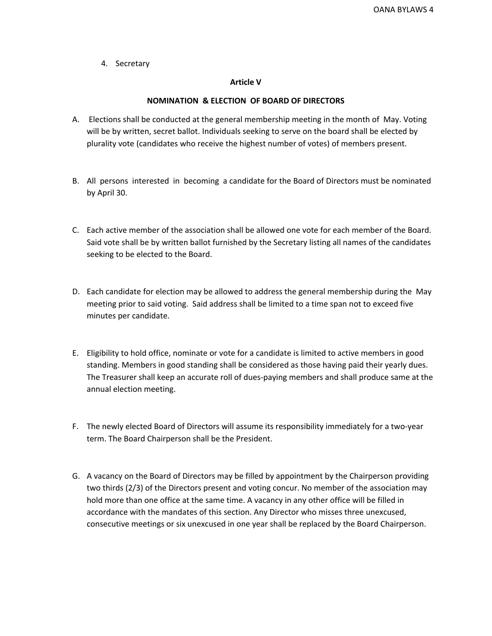4. Secretary

## **Article V**

# **NOMINATION & ELECTION OF BOARD OF DIRECTORS**

- A. Elections shall be conducted at the general membership meeting in the month of May. Voting will be by written, secret ballot. Individuals seeking to serve on the board shall be elected by plurality vote (candidates who receive the highest number of votes) of members present.
- B. All persons interested in becoming a candidate for the Board of Directors must be nominated by April 30.
- C. Each active member of the association shall be allowed one vote for each member of the Board. Said vote shall be by written ballot furnished by the Secretary listing all names of the candidates seeking to be elected to the Board.
- D. Each candidate for election may be allowed to address the general membership during the May meeting prior to said voting. Said address shall be limited to a time span not to exceed five minutes per candidate.
- E. Eligibility to hold office, nominate or vote for a candidate is limited to active members in good standing. Members in good standing shall be considered as those having paid their yearly dues. The Treasurer shall keep an accurate roll of dues-paying members and shall produce same at the annual election meeting.
- F. The newly elected Board of Directors will assume its responsibility immediately for a two-year term. The Board Chairperson shall be the President.
- G. A vacancy on the Board of Directors may be filled by appointment by the Chairperson providing two thirds (2/3) of the Directors present and voting concur. No member of the association may hold more than one office at the same time. A vacancy in any other office will be filled in accordance with the mandates of this section. Any Director who misses three unexcused, consecutive meetings or six unexcused in one year shall be replaced by the Board Chairperson.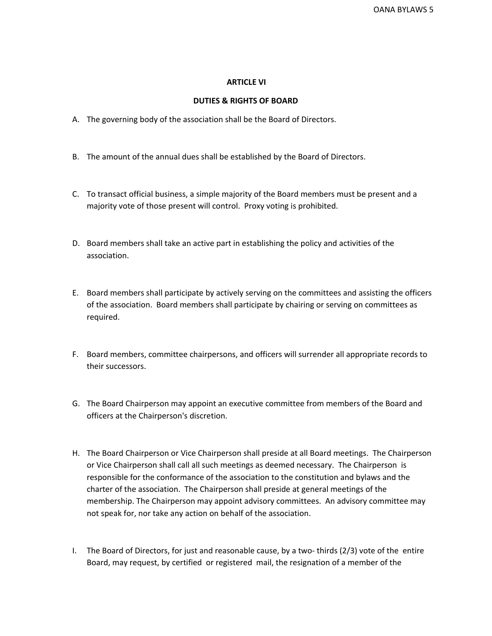## **ARTICLE VI**

#### **DUTIES & RIGHTS OF BOARD**

- A. The governing body of the association shall be the Board of Directors.
- B. The amount of the annual dues shall be established by the Board of Directors.
- C. To transact official business, a simple majority of the Board members must be present and a majority vote of those present will control. Proxy voting is prohibited.
- D. Board members shall take an active part in establishing the policy and activities of the association.
- E. Board members shall participate by actively serving on the committees and assisting the officers of the association. Board members shall participate by chairing or serving on committees as required.
- F. Board members, committee chairpersons, and officers will surrender all appropriate records to their successors.
- G. The Board Chairperson may appoint an executive committee from members of the Board and officers at the Chairperson's discretion.
- H. The Board Chairperson or Vice Chairperson shall preside at all Board meetings. The Chairperson or Vice Chairperson shall call all such meetings as deemed necessary. The Chairperson is responsible for the conformance of the association to the constitution and bylaws and the charter of the association. The Chairperson shall preside at general meetings of the membership. The Chairperson may appoint advisory committees. An advisory committee may not speak for, nor take any action on behalf of the association.
- I. The Board of Directors, for just and reasonable cause, by a two- thirds (2/3) vote of the entire Board, may request, by certified or registered mail, the resignation of a member of the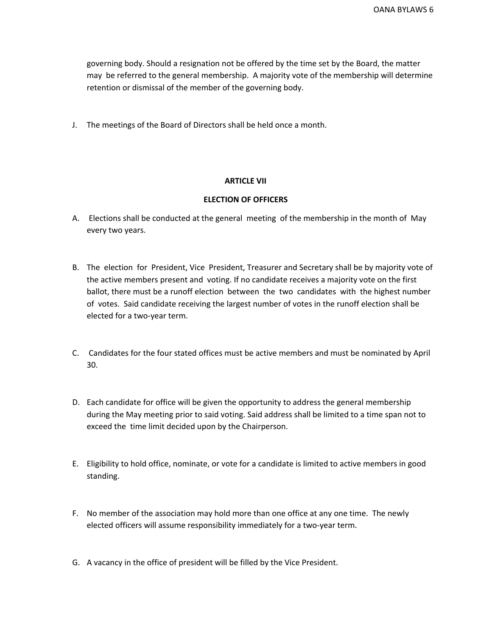governing body. Should a resignation not be offered by the time set by the Board, the matter may be referred to the general membership. A majority vote of the membership will determine retention or dismissal of the member of the governing body.

J. The meetings of the Board of Directors shall be held once a month.

# **ARTICLE VII**

# **ELECTION OF OFFICERS**

- A. Elections shall be conducted at the general meeting of the membership in the month of May every two years.
- B. The election for President, Vice President, Treasurer and Secretary shall be by majority vote of the active members present and voting. If no candidate receives a majority vote on the first ballot, there must be a runoff election between the two candidates with the highest number of votes. Said candidate receiving the largest number of votes in the runoff election shall be elected for a two-year term.
- C. Candidates for the four stated offices must be active members and must be nominated by April 30.
- D. Each candidate for office will be given the opportunity to address the general membership during the May meeting prior to said voting. Said address shall be limited to a time span not to exceed the time limit decided upon by the Chairperson.
- E. Eligibility to hold office, nominate, or vote for a candidate is limited to active members in good standing.
- F. No member of the association may hold more than one office at any one time. The newly elected officers will assume responsibility immediately for a two-year term.
- G. A vacancy in the office of president will be filled by the Vice President.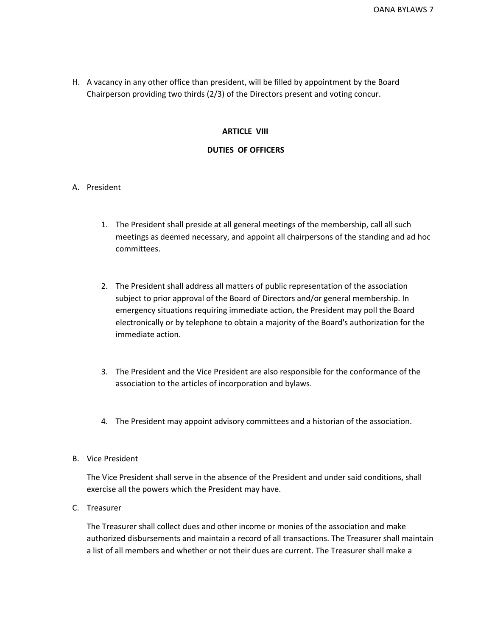H. A vacancy in any other office than president, will be filled by appointment by the Board Chairperson providing two thirds (2/3) of the Directors present and voting concur.

# **ARTICLE VIII**

# **DUTIES OF OFFICERS**

# A. President

- 1. The President shall preside at all general meetings of the membership, call all such meetings as deemed necessary, and appoint all chairpersons of the standing and ad hoc committees.
- 2. The President shall address all matters of public representation of the association subject to prior approval of the Board of Directors and/or general membership. In emergency situations requiring immediate action, the President may poll the Board electronically or by telephone to obtain a majority of the Board's authorization for the immediate action.
- 3. The President and the Vice President are also responsible for the conformance of the association to the articles of incorporation and bylaws.
- 4. The President may appoint advisory committees and a historian of the association.

## B. Vice President

The Vice President shall serve in the absence of the President and under said conditions, shall exercise all the powers which the President may have.

C. Treasurer

The Treasurer shall collect dues and other income or monies of the association and make authorized disbursements and maintain a record of all transactions. The Treasurer shall maintain a list of all members and whether or not their dues are current. The Treasurer shall make a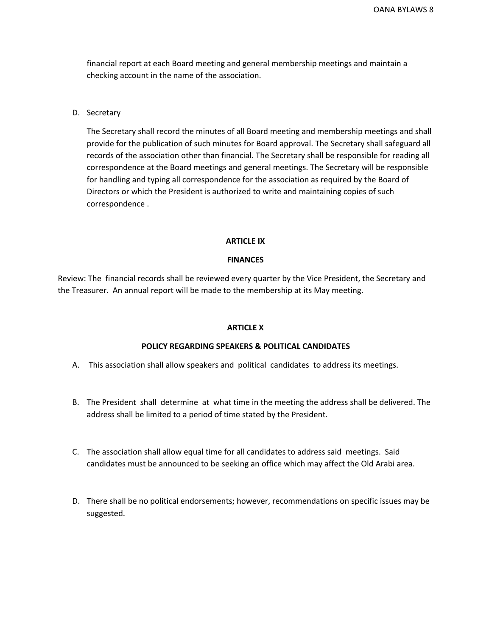financial report at each Board meeting and general membership meetings and maintain a checking account in the name of the association.

D. Secretary

The Secretary shall record the minutes of all Board meeting and membership meetings and shall provide for the publication of such minutes for Board approval. The Secretary shall safeguard all records of the association other than financial. The Secretary shall be responsible for reading all correspondence at the Board meetings and general meetings. The Secretary will be responsible for handling and typing all correspondence for the association as required by the Board of Directors or which the President is authorized to write and maintaining copies of such correspondence .

#### **ARTICLE IX**

#### **FINANCES**

Review: The financial records shall be reviewed every quarter by the Vice President, the Secretary and the Treasurer. An annual report will be made to the membership at its May meeting.

#### **ARTICLE X**

#### **POLICY REGARDING SPEAKERS & POLITICAL CANDIDATES**

- A. This association shall allow speakers and political candidates to address its meetings.
- B. The President shall determine at what time in the meeting the address shall be delivered. The address shall be limited to a period of time stated by the President.
- C. The association shall allow equal time for all candidates to address said meetings. Said candidates must be announced to be seeking an office which may affect the Old Arabi area.
- D. There shall be no political endorsements; however, recommendations on specific issues may be suggested.